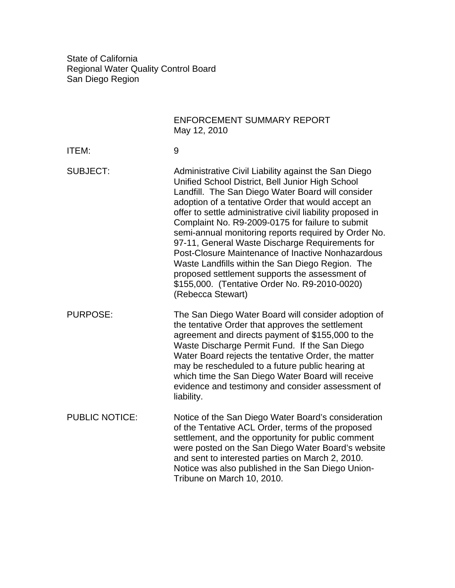State of California Regional Water Quality Control Board San Diego Region

|                       | <b>ENFORCEMENT SUMMARY REPORT</b><br>May 12, 2010                                                                                                                                                                                                                                                                                                                                                                                                                                                                                                                                                                                                                                 |
|-----------------------|-----------------------------------------------------------------------------------------------------------------------------------------------------------------------------------------------------------------------------------------------------------------------------------------------------------------------------------------------------------------------------------------------------------------------------------------------------------------------------------------------------------------------------------------------------------------------------------------------------------------------------------------------------------------------------------|
| ITEM:                 | 9                                                                                                                                                                                                                                                                                                                                                                                                                                                                                                                                                                                                                                                                                 |
| <b>SUBJECT:</b>       | Administrative Civil Liability against the San Diego<br>Unified School District, Bell Junior High School<br>Landfill. The San Diego Water Board will consider<br>adoption of a tentative Order that would accept an<br>offer to settle administrative civil liability proposed in<br>Complaint No. R9-2009-0175 for failure to submit<br>semi-annual monitoring reports required by Order No.<br>97-11, General Waste Discharge Requirements for<br>Post-Closure Maintenance of Inactive Nonhazardous<br>Waste Landfills within the San Diego Region. The<br>proposed settlement supports the assessment of<br>\$155,000. (Tentative Order No. R9-2010-0020)<br>(Rebecca Stewart) |
| <b>PURPOSE:</b>       | The San Diego Water Board will consider adoption of<br>the tentative Order that approves the settlement<br>agreement and directs payment of \$155,000 to the<br>Waste Discharge Permit Fund. If the San Diego<br>Water Board rejects the tentative Order, the matter<br>may be rescheduled to a future public hearing at<br>which time the San Diego Water Board will receive<br>evidence and testimony and consider assessment of<br>liability.                                                                                                                                                                                                                                  |
| <b>PUBLIC NOTICE:</b> | Notice of the San Diego Water Board's consideration<br>of the Tentative ACL Order, terms of the proposed<br>settlement, and the opportunity for public comment<br>were posted on the San Diego Water Board's website<br>and sent to interested parties on March 2, 2010.<br>Notice was also published in the San Diego Union-<br>Tribune on March 10, 2010.                                                                                                                                                                                                                                                                                                                       |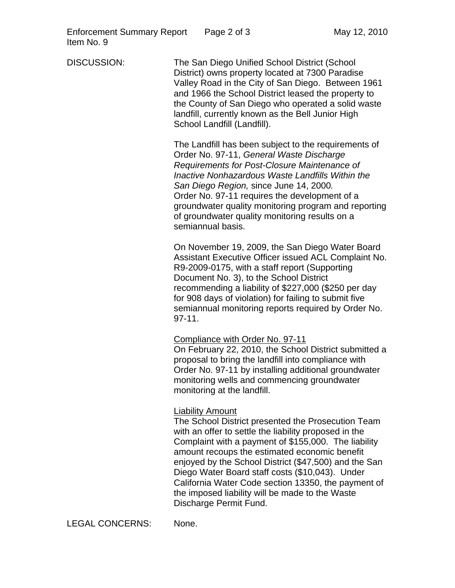DISCUSSION: The San Diego Unified School District (School District) owns property located at 7300 Paradise Valley Road in the City of San Diego. Between 1961 and 1966 the School District leased the property to the County of San Diego who operated a solid waste landfill, currently known as the Bell Junior High School Landfill (Landfill).

> The Landfill has been subject to the requirements of Order No. 97-11, *General Waste Discharge Requirements for Post-Closure Maintenance of Inactive Nonhazardous Waste Landfills Within the San Diego Region,* since June 14, 2000*.* Order No. 97-11 requires the development of a groundwater quality monitoring program and reporting of groundwater quality monitoring results on a semiannual basis.

> On November 19, 2009, the San Diego Water Board Assistant Executive Officer issued ACL Complaint No. R9-2009-0175, with a staff report (Supporting Document No. 3), to the School District recommending a liability of \$227,000 (\$250 per day for 908 days of violation) for failing to submit five semiannual monitoring reports required by Order No. 97-11.

## Compliance with Order No. 97-11

On February 22, 2010, the School District submitted a proposal to bring the landfill into compliance with Order No. 97-11 by installing additional groundwater monitoring wells and commencing groundwater monitoring at the landfill.

## Liability Amount

The School District presented the Prosecution Team with an offer to settle the liability proposed in the Complaint with a payment of \$155,000. The liability amount recoups the estimated economic benefit enjoyed by the School District (\$47,500) and the San Diego Water Board staff costs (\$10,043). Under California Water Code section 13350, the payment of the imposed liability will be made to the Waste Discharge Permit Fund.

LEGAL CONCERNS: None.